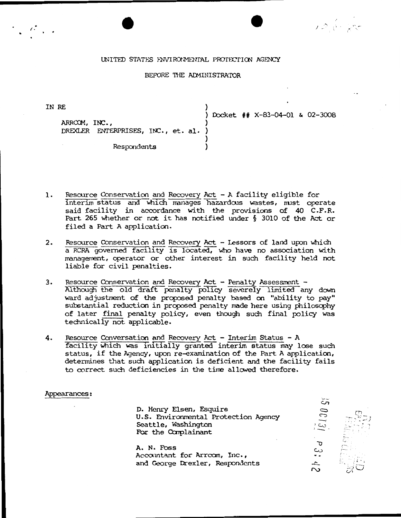#### UNITED STATES J-NVIRONMEN1'AL PROf.ECTIOO AGENCY

## BEFORE THE ADMINISTRATOR

IN RE

 $\mathcal{E}^{\mathcal{E}}$ 

ARROOM, INC., ) DREXLER ENTERPRISES, INC., et. al. )

Respondents

) Docket ## X-83-04-01 & 02-3008

- 1. Resource Conservation and Recovery Act -A facility eligible for interim status and which manages hazardous wastes, must operate said facility in accordance with the provisions of 40 C.F.R. Part 265 whether or not it has notified under § 3010 of the Act or filed a Part A application.
- 2. Resource Conservation and Recovery Act Lessors of land upon which a RCRA governed facility is located, who have no association with management, operator or other interest in such facility held not liable for civil penalties.
- 3. Resource Conservation and Recovery Act Penalty Assessment -Although the old draft penalty policy severely limited any down ward adjustment of the proposed penalty based on "ability to pay" substantial reduction in proposed penalty made here using philosophy of later final penalty policy, even though such final policy was teChnically not applicable.
- 4. Resource Conversation and Recovery Act Interim Status A facility which was initially granted interim status may lose such status, if the Agency, upon re-examination of the Part A application, determines that such application is deficient and the facility fails to correct such deficiencies in the time allowed therefore.

#### Appearances:

 $350013i$ D. Henry Elsen, Esquire U.S. Environmental Protection Agency Seattle, Washington \_\_ -.\_,.. . ·· -.. For the Complainant .. ........ . . A. N. Foss *r--.*   $\frac{1}{2}$  .  $\frac{1}{2}$   $\frac{1}{2}$   $\frac{1}{2}$   $\frac{1}{2}$ Accamtant for Arrccm, Inc., and George Drexler, Respondents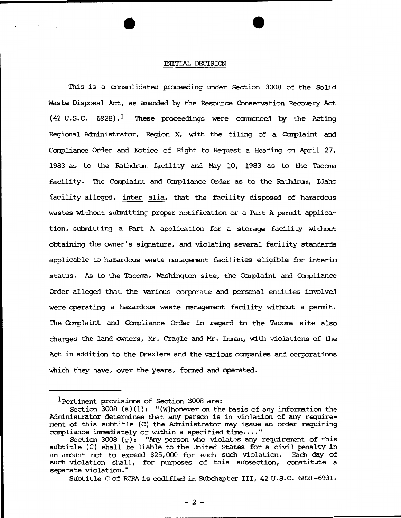# INITIAL DECISION

'Ihis is a consolidated proceeding under Section 3008 of the Solid Waste Disposal Act, as amended by the Resource Conservation Recovery Act  $(42 \text{ U.S.C. } 6928).$ <sup>1</sup> These proceedings were commenced by the Acting Regional Administrator, Region X, with the filing of a Complaint and Canpliance Order and Notice of Right to Request a Hearing on April 27, 1983 as to the Rathdrum facility and May 10, 1983 as to the Tacana. facility. The Complaint and Compliance Order as to the Rathdrum, Idaho facility alleged, inter alia, that the facility disposed of hazardous wastes without submitting proper notification or a Part A permit application, submitting a Part A application for a storage facility without obtaining the owner's signature, and violating several facility standards applicable to hazardous waste management facilities eligible for interim status. As to the Tacoma, Washington site, the Complaint and Compliance Order alleged that the various corporate and personal entities involved were operating a hazardous waste management facility without a permit. 'lhe Carplaint and Carpliance Order in regard to the Tacara site also charges the land owners, Mr. Cragle and Mr. Inman, with violations of the Act in addition to the Drexlers and the various companies and corporations Which they have, over the years, fonned and operated.

Subtitle C of RCRA is codified in Subchapter III, 42 u.s.c. 6821-6931.

<sup>1</sup> Pertinent provisions of Section 3008 are:

Section  $3008$  (a)(1): "(W)henever on the basis of any information the Administrator determines that any person is in violation of any requirement of this subtitle (C) the Administrator nay issue an order requiring compliance immediately or within a specified time...."

Section 3008  $(g)$ : "Any person who violates any requirement of this subtitle (C) shall be liable to the United states for a civil penalty in an amount not to exceed \$25,000 for each such violation. Each day of such violation shall, for purposes of this subsection, constitute a separate violation."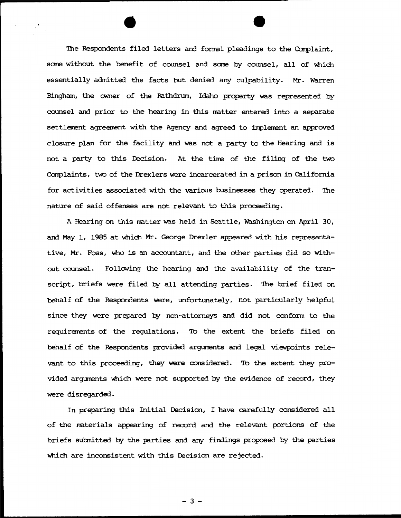The Respondents filed letters and formal pleadings to the Complaint, some without the benefit of counsel and some by counsel, all of which essentially admitted the facts but denied any culpability. Mr. Warren Bingham, the owner of the Rathdrum, Idaho property was represented by camsel and prior to the hearing in this matter entered into a separate settlement agreement with the Agency and agreed to implement an approved closure plan for the facility and was not a party to the Hearing and is not a party to this Decision. At the time of the filing of the two Complaints, two of the Drexlers were incarcerated in a prison in California for activities associated with the various businesses they cperated. 'lhe nature of said offenses are not relevant to this proceeding.

A Hearing on this matter was held in Seattle, Washington on April 30, and May 1, 1985 at which Mr. George Drexler appeared with his representative, Mr. Foss, 'Who is an accountant, and the other parties did so without counsel. Following the hearing and the availability of the transcript, briefs were filed by all attending parties. The brief filed on behalf of the Respondents were, unfortunately, not particularly helpful since they were prepared by non-attorneys and did not conform to the requiremmts of the regulations. To the extent the briefs filed on behalf of the Respondents provided arguments and legal viewpoints relevant to this proceeding, they were considered. To the extent they provided arguments which were not supported by the evidence of record, they were disregarded.

In preparing this Initial Decision, I have carefully considered all of the materials appearing of record and the relevant portions of the briefs suhnitted by the parties and any findings proposed by the parties 'Which are inconsistent with this Decision are rejected.

- 3 -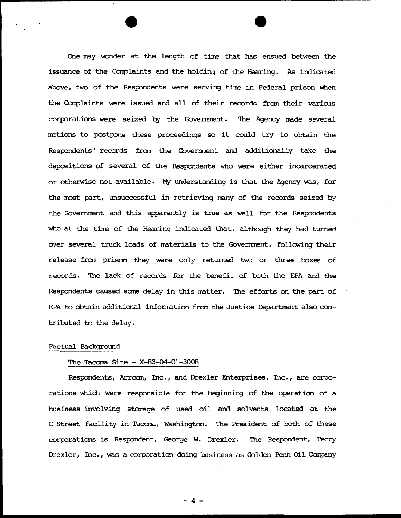One may wonder at the length of time that has ensued between the issuance of the Complaints and the holding of the Hearing. As indicated above, two of the Respondents were serving time in Federal prison when the Complaints were issued and all of their records from their various corporations were seized by the Government. The Agency made several motions to postpone these proceedings so it could try to obtain the Respondents' records from the Government and additionally take the depositions of several of the Respondents Who were either incarcerated or otherwise not available. My understanding is that the Agency was, for the most part, unsuccessful in retrieving many of the records seized by the Government and this apparently is true as well for the Respondents who at the time of the Hearing indicated that, although they had turned over several truck loads of materials to the Government, following their release from prison they were only returned two or three boxes of records. The lack of records for the benefit of both the EPA and the Respondents caused some delay in this matter. The efforts on the part of EPA to obtain additional information from the Justice Department also contributed to the delay.

#### Factual Background

## The Tacoma Site - X-83-Q4-0l-3008

Respondents, Arroom, Inc., and Drexler Enterprises, Inc., are corporations which were responsible for the beginning of the operation of a business involving storage of used oil and solvents located at the C Street facility in Tacama, Washington. 'Ihe President of both of these corporations is Respondent, George W. Drexler. The Respondent, Terry Drexler, Inc., was a corporation doing business as Golden Penn Oil Company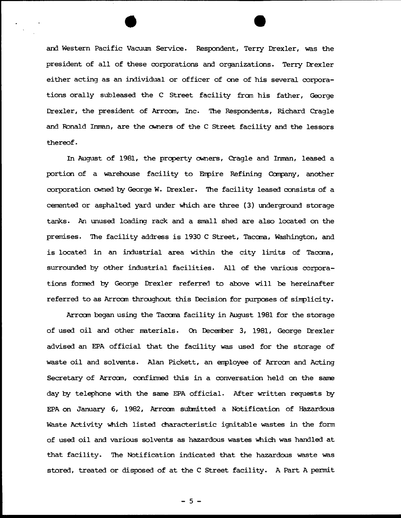and Western Pacific Vacuum Service. Respondent, Terry Drexler, was the president of all of these corporations and organizations. Terry Drexler either acting as an individual or officer of one of his several corporations orally subleased the C Street facility fran his father, George Drexler, the president of Arrccm, Inc. '!he Respondents, Richard Cragle and Ronald Inman, are the owners of the C Street facility and the lessors thereof.

In August of 1981, the property owners, Cragle and Inman, leased a portion of a warehouse facility to Empire Refining Company, another corporation owned by George w. Drexler. 'Ihe facility leased consists of a cemented or asphalted yard under which are three (3) underground storage tanks. An unused loading rack and a small shed are also located on the premises. The facility address is 1930 C Street, Tacoma, Washington, and is located in an industrial area within the city limits of Tacara, surrounded by other industrial facilities. All of the various corporations formed by George Drexler referred to above will be hereinafter referred to as Arrcom throughout this Decision for purposes of simplicity.

Arrccm began using the Tacara facility in August 1981 for the storage of used oil and other rraterials. On Decenber 3, 1981, George Drexler advised an EPA official that the facility was used for the storage of waste oil and solvents. Alan Pickett, an employee of Arrcom and Acting Secretary of Arrccm, confirmed this in a conversation held on the sane day by telephone with the same EPA official. After written requests by EPA on January 6, 1982, Arroom submitted a Notification of Hazardous Waste Activity which listed characteristic ignitable wastes in the form of used oil and various solvents as hazardous wastes which was handled at that facility. The Notification indicated that the hazardous waste was stored, treated or disposed of at the C Street facility. A Part A pennit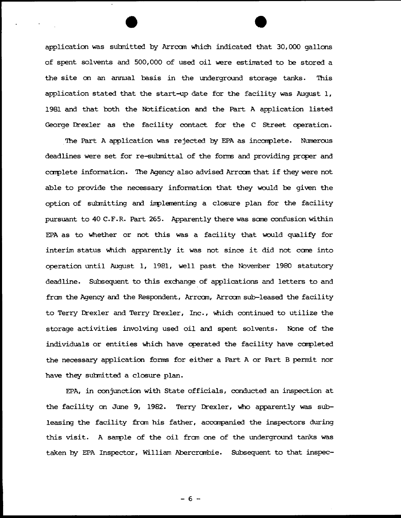application was submitted by Arrcom which indicated that 30,000 gallons of spent sol vents and 500, 000 of used oil were estimated to be stored a the site on an annual basis in the underground storage tanks. This application stated that the start-up date for the facility was August 1, 1981 and that both the Notification and the Part A application listed George Drexler as the facility contact for the C Street operation.

The Part A application was rejected by EPA as incomplete. Numerous deadlines were set for re-submittal of the forms and providing proper and carplete infonnation. 'Ihe Agency also advised Arrcan that if they were not able to provide the necessary infornation that they would be given the option of submitting and implementing a closure plan for the facility pursuant to 40 C.F.R. Part 265. Apparently there was sare confusion within EPA as to Whether or not this was a facility that would qualify for interim status Which apparently it was not since it did not care into operation until August 1, 1981, well past the Noveniber 1980 statutory deadline. Subsequent to this exchange of applications and letters to and fran the Agency and the Respondent, Arrcan, Arrcan sub-leased the facility to Terry Drexler and Terry Drexler, Inc., which continued to utilize the storage activities involving used oil and spent solvents. None of the individuals or entities which have operated the facility have completed the necessary application forms for either a Part A or Part B permit nor have they subnitted a closure plan.

EPA, in conjunction with State officials, conducted an inspection at the facility on June 9, 1982. Terry Drexler, who apparently was subleasing the facility from his father, accompanied the inspectors during this visit. A sample of the oil from one of the underground tanks was taken by EPA Inspector, William Abercrambie. Subsequent to that inspec-

- 6 -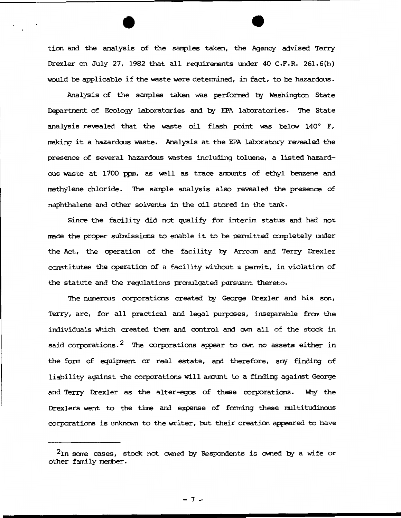ticn and the analysis of the sanples taken, the Agency advised Terry Drexler on July 27, 1982 that all requirements under 40 C.F.R. 261.6(b) would be applicable if the waste were detennined, in fact, to be hazardous.

Analysis of the samples taken was performed by Washington State Department of Ecology Laboratories and by EPA laboratories. The State analysis revealed that the waste oil flash point was below 140° F, making it a hazardous waste. Analysis at the EPA laboratory revealed the presence of several hazardoos wastes including toluene, a listed hazardous waste at 1700 ppm, as well as trace amounts of ethyl benzene and methylene chloride. The sample analysis also revealed the presence of naphthalene and other solvents in the oil stored in the tank.

Since the facility did not qualify for interim status and had not made the proper submissions to enable it to be permitted completely under the Act, the operation of the facility by Arrcom and Terry Drexler constitutes the operation of a facility without a pennit, in violation of the statute and the regulations pranulgated pursuant thereto.

The numerous corporations created by George Drexler and his son, Terry, are, for all practical and legal purposes, inseparable from the individuals which created them and control and own all of the stock in said corporations.<sup>2</sup> The corporations appear to  $\alpha$  no assets either in the fonn of equipnent or real estate, and therefore, any finding of liability against the corporations will anount to a finding against George and Terry Drexler as the alter-egos of these corporations. Why the Drexlers went to the time and expense of forming these multitudinous corporations is unknown to the writer, but their creation appeared to have

 $7-$ 

 $2\text{In}$  some cases, stock not owned by Respondents is owned by a wife or other family member.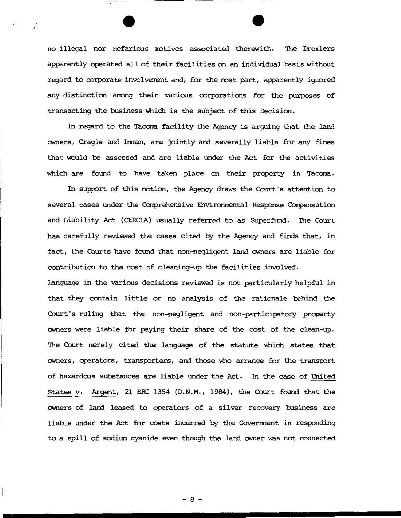no illegal nor nefarious motives associated therewith. The Drexlers apparently operated all of their facilities on an individual basis without regard to corporate involvement and, for the most part, apparently ignored any distinction among their various corporations for the purposes of transacting the business Which is the subject of this Decision.

In regard to the Tacoma facility the Agency is arguing that the land owners, Cragle and Inman, are jointly and severally liable for any fines that would be assessed and are liable under the Act for the activities which are found to have taken place on their property in Tacoma.

In support of this notion, the Agency draws the Court's attention to several cases under the Comprehensive Environmental Response Compensation and Liability Act (CERCIA) usually referred to as Superfund. The Court has carefully reviewed the cases cited by the Agency and finds that, in fact, the Courts have found that non-negligent land owners are liable for contribution to the cost of cleaning-up the facilities involved.

language in the varioos decisions reviewed is not particularly helpful in that they contain little or no analysis of the rationale behind the Court's ruling that the non-negligent and non-participatory property owners were liable for paying their share of the cost of the clean-up. The Court nerely cited the language of the statute Which states that owners, operators, transporters, and those who arrange for the transport of hazardoos substances are liable under the Act. In the case of United States v. Argent, 21 ERC 1354 (D.N.M., 1984), the Court found that the owners of land leased to operators of a silver recovery business are liable under the Act for costs incurred by the Goverment in responding to a spill of sodium cyanide even though the land owner was not connected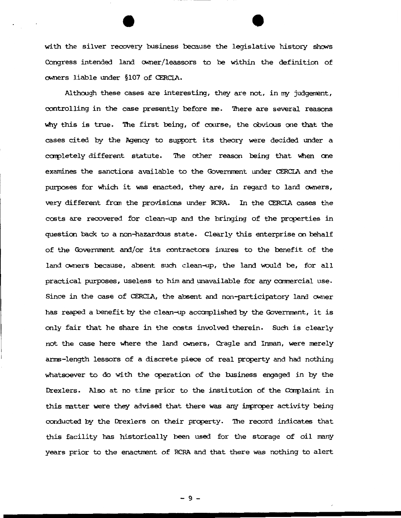with the silver recovery business because the legislative history shows Congress intended land owner/leassors to be within the definition of owners liable under §107 of CERCLA.

Although these cases are interesting, they are not, in my judgement, controlling in the case presently before me. There are several reasons why this is true. The first being, of course, the obvious one that the cases cited by the Agency to support its theory were decided under a completely different statute. The other reason being that when one examines the sanctions available to the Governmant under CERCLA and the purposes for which it was enacted, they are, in regard to land owners, very different fran the provisions under RCRA. In the CERCLA cases the costs are recovered for clean-up and the bringing of the properties in question back to a non-hazardous state. Clearly this enterprise on behalf of the Government and/or its contractors inures to the benefit of the land owners because, absent such clean-up, the land would be, for all practical purposes, useless to him and unavailable for any cannercial use. Since in the case of CERCLA, the absent and non-participatory land owner has reaped a benefit by the clean-up accomplished by the Government, it is only fair that he share in the costs involved therein. Such is clearly not the case here where the land owners, Cragle and Inman, were merely arms-length lessors of a discrete piece of real property and had nothing whatsoever to do with the operation of the business engaged in by the Drexlers. Also at no time prior to the institution of the Complaint in this matter were they advised that there was any improper activity being conducted by the Drexlers on their property. 'Ihe record indicates that this facility has historically been used for the storage of oil nany years prior to the enactment of RCRA and that there was nothing to alert

- 9 -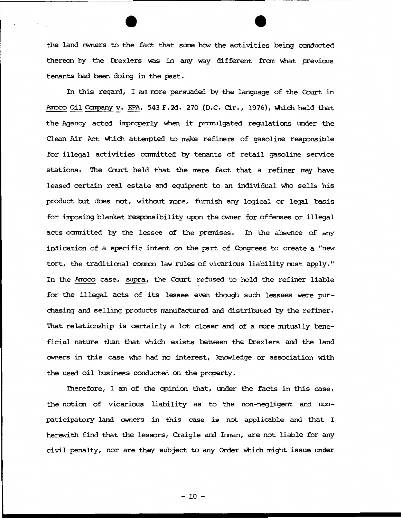the land owners to the fact that some how the activities being conducted thereon by the Drexlers was in any way different fran What previous tenants had been doing in the past.

In this regard, I am more persuaded by the language of the Court in Amoco Oil Company v. EPA, 543 F.2d. 270 (D.C. Cir., 1976), which held that the Agency acted inprcperly when it prarulgated regulations under the Clean Air Act \ohich attenpted to make refiners of gasoline responsible for illegal activities ccmnitted by tenants of retail gasoline service stations. The Court held that the mere fact that a refiner may have leased certain real estate and equipment to an individual Who sells his product but does not, without more, furnish any logical or legal basis for imposing blanket responsibility upon the owner for offenses or illegal acts committed by the lessee of the premises. In the absence of any indication of a specific intent on the part of Congress to create a "new tort, the traditional common law rules of vicarious liability must apply." In the Amoco case, supra, the Court refused to hold the refiner liable for the illegal acts of its lessee even though such lessees were pur-Chasing and selling products nanufactured am distributed by the refiner. That relationship is certainly a lot closer and of a more mutually beneficial nature than that Which exists between the Drexlers and the land CMners in this case who had no interest, knCMledge or association with the used oil business conducted on the property.

Therefore, I am of the opinion that, under the facts in this case, the noticn of vicarious liability as to the non-negligent and nonpaticipatory land owners in this case is not applicable and that I herewith find that the lessors, Craigle and Inman, are not liable for any civil penalty, nor are they subject to any Order Which might issue under

 $-10 -$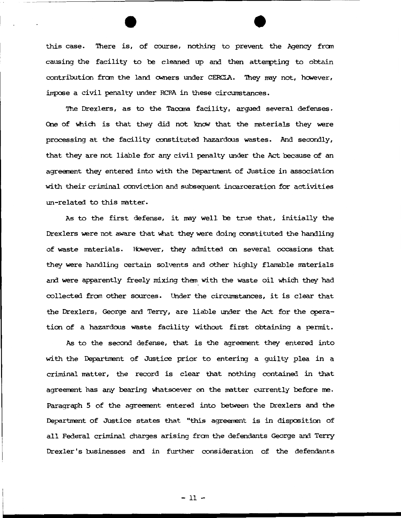this case. 'Ihere is, of course, nothing to prevent the Agency fran causing the facility to be cleaned up and then attenpting to obtain contribution from the land owners under CERCIA. They may not, however, impose a civil penalty under RCRA in these circumstances.

The Drexlers, as to the Tacoma facility, arqued several defenses. One of which is that they did not know that the materials they were processing at the facility constituted hazardous wastes. And secondly, that they are not liable for any civil penalty under the Act because of an agreement they entered into with the Department of Justice in association with their criminal conviction and subsequent incarceration for activities un-related to this matter.

As to the first defense, it may well be true that, initially the Drexlers were not aware that what they were doing constituted the hardling of waste materials. However, they admitted on several occasions that they were handling certain solvents and other highly flamable materials and were apparently freely mixing them with the waste oil which they had collected fran other sources. Under the circumstances, it is clear that the Drexlers, George and Terry, are liable under the Act for the operation of a hazardous waste facility without first obtaining a permit.

As to the second defense, that is the agreement they entered into with the Department of Justice prior to entering a guilty plea in a criminal matter, the record is clear that nothing contained in that agreement has any bearing whatsoever on the matter currently before me. Paragraph 5 of the agreement entered into between the Drexlers and the Department of Justice states that "this agreement is in disposition of all Federal criminal charges arising fran the defendants George and Terry Drexler's businesses and in further consideration of the defendants

- 11 -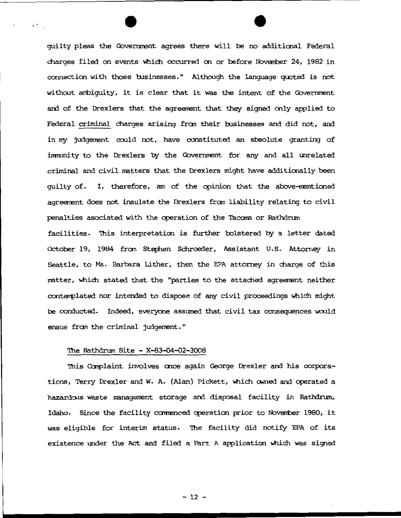guilty pleas the Government agrees there will be no additional Federal charges filed on events which occurred on or before November 24, 1982 in connection with those businesses." Although the language quoted is not without ambiguity, it is clear that it was the intent of the Governnent and of the Drexlers that the agreement that they signed only applied to Federal criminal charges arising from their businesses and did not, and in my judgement could not, have constituted an absolute granting of immunity to the Drexlers by the Government for any and all unrelated criminal and civil matters that the Drexlers might have additionally been guilty of. I, therefore, am of the opinion that the above-mentioned agreement does not insulate the Drexlers fran liability relating to civil penalties asociated with the operation of the Tacoma or Rathdrum facilities. This interpretation is further bolstered by a letter dated October 19, 1984 fran stephen Schroeder, Assistant u.s. Attomey in Seattle, to Ms. Barbara Lither, then the EPA attorney in charge of this matter, which stated that the "parties to the attached agreement neither conterrplated nor intended to dispose of any civil proceedings Which might be conducted. Indeed, everyone assumed that civil tax consequences would ensue fran the criminal judgement. "

## The Rathdrum Site - X-83-04-02-3008

 $\ddot{\phantom{1}}$ 

This Oamplaint involves once again George Drexler and his corporations, Terry Drexler and W. A. (Alan) Pickett, which owned and operated a hazardous waste management storage and disposal facility in Rathdrum, Idaho. Since the facility commenced operation prior to November 1980, it was eligible for interim status. 'Ihe facility did notify EPA of its existence under the Act and filed a Part A application which was signed

 $-12 -$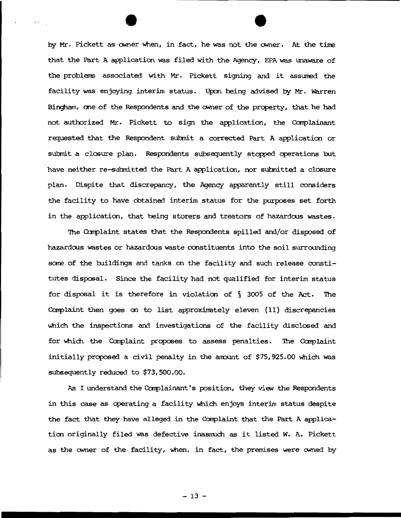by Mr. Pickett as CMner when, in fact, he was not the CMner. At the time that the Part A application was filed with the Agency, EPA was unaware of the problems associated with Mr. Pickett signing and it assumed the facility was enjoying interim status. Upon being advised by Mr. Warren Bingham, one of the Respondents and the owner of the property, that he had not authorized Mr. Pickett to sign the application, the Complainant requested that the Respondent submit a corrected Part A application or submit a closure plan. Respondents subsequently stopped operations but have neither re-submitted the Part A application, nor submitted a closure plan. Dispite that discrepancy, the Agency apparently still considers the facility to have obtained interim status for the purposes set forth in the application, that being storers and treators of hazardous wastes.

The Complaint states that the Respondents spilled and/or disposed of hazardous wastes or hazardous waste constituents into the soil surrounding some of the buildings and tanks on the facility and such release constitutes disposal. Since the facility had not qualified for interim status for disposal it is therefore in violation of § 3005 of the Act. 'Ihe Complaint then goes on to list approximately eleven (11) discrepancies which the inspections and investigations of the facility disclosed and for which the Complaint proposes to assess penalties. The Complaint initially proposed a civil penalty in the amount of \$75,925.00 which was subsequently reduced to \$73,500.00.

As I understand the Complainant's position, they view the Respondents in this case as operating a facility which enjoys interim status despite the fact that they have alleged in the Complaint that the Part A application originally filed was defective inasmuch as it listed W. A. Pickett as the owner of the facility, when, in fact, the premises were owned by

 $-13 -$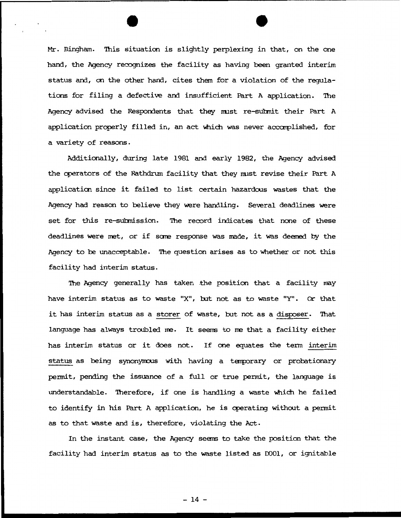Mr. Bingham. 'lhis situation is slightly perplexing in that, on the one hand, the Agency recognizes the facility as having been granted interim status and, on the other hand, cites them for a violation of the regulations for filing a defective and insufficient Part A application. 'lhe Agency advised the Respondents that they must re-submit their Part A application properly filled in, an act which was never accomplished, for a variety of reasons.

Additionally, during late 1981 and early 1982, the Agency advised the operators of the Rathdrum facility that they must revise their Part A application since it failed to list certain hazardous wastes that the Agency had reason to believe they were handling. Several deadlines were set for this re-submission. The record indicates that none of these deadlines were met, or if some response was made, it was deemed by the Agency to be unacceptable. The question arises as to whether or not this facility had interim status.

The Agency generally has taken the position that a facility may have interim status as to waste "X", but not as to waste "Y" . Or that it has interim status as a storer of waste, but not as a disposer. That language has always troubled me. It seems to me that a facility either has interim status or it does not. If one equates the tenn interim status as being synonymous with having a temporary or probationary pennit, pending the issuance of a full or true pennit, the language is understandable. Therefore, if one is handling a waste which he failed to identify in his Part A application, he is operating without a permit as to that waste and is, therefore, violating the Act.

In the instant case, the Agency seems to take the position that the facility had interim status as to the waste listed as DOOl, or ignitable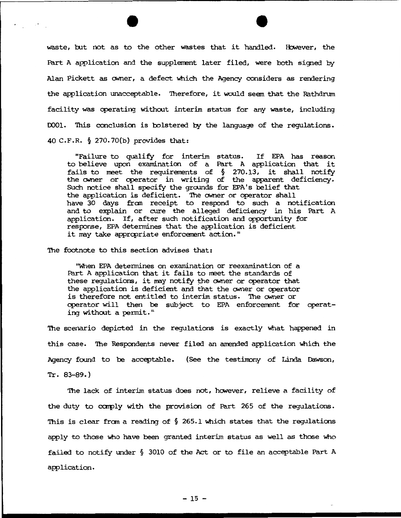waste, but not as to the other wastes that it handled. However, the Part A application and the supplement later filed, were both signed by Alan Pickett as owner, a defect Whidh the Agency considers as rendering the application unacceptable. Therefore, it would seem that the Rathdrum facility was cperating without interim status for any waste, including DOO1. This conclusion is bolstered by the language of the regulations. 40 C.F.R. § 270. 70(b) provides that:

"Failure to qualify for interim status. If EPA has reason to believe upon examination of a Part A application that it  $\frac{1}{2}$  fails to meet the requirements of § 270.13, it shall notify the owner or cperator in writing of the apparent deficiency. Sudh notice shall specify the gramds for EPA's belief that the application is deficient. The owner or operator shall have 30 days fran receipt to respond to sudh a notification and to explain or cure the alleged deficiency in his Part A application. If, after such notification and opportunity for response, EPA determines that the application is deficient it may take appropriate enforcement action."

The footnote to this section advises that:

''\Vhen EPA detennines on examination or reexamination of a Part A application that it fails to meet the standards of these regulations, it may notify the owner or operator that the application is deficient and that the owner or cperator is therefore not entitled to interim status. The owner or operator will then be subject to EPA enforcement for operating without a pennit. "

The scenario depicted in the regulations is exactly what happened in this case. The Respondents never filed an amended application which the Agency found to be acceptable. (See the testimony of Linda Dawson, Tr. 83-89.)

The lack of interim status does not, however, relieve a facility of the duty to comply with the provision of Part 265 of the requlations. This is clear from a reading of  $\S$  265.1 which states that the regulations apply to those Who have been granted interim status as well as those Who failed to notify under § 3010 of the Act or to file an acceptable Part A application.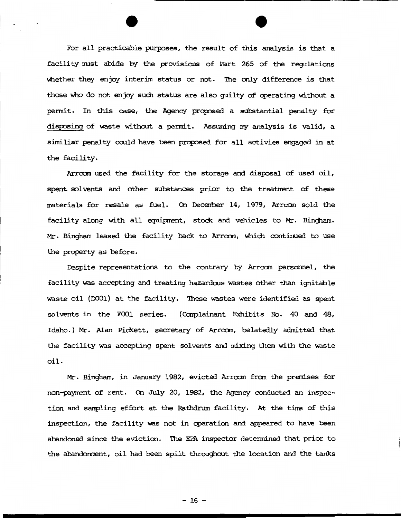For all practicable purposes, the result of this analysis is that a facility nust abide by the provisions of Part 265 of the regulations whether they enjoy interim status or not. The only difference is that those who do not enjoy such status are also quilty of operating without a permit. In this case, the Agency proposed a substantial penalty for disposing of waste without a permit. Assuming my analysis is valid, a similiar penalty could have been proposed for all activies engaged in at the facility.

Arrcan used the facility for the storage and disposal of used oil, spent solvents and other substances prior to the treatment of these materials for resale as fuel. On December 14, 1979, Arroom sold the facility along with all equipment, stock and vehicles to Mr. Bingham. Mr. Bingham leased the facility back to Arrcan, Which continued to use the property as before.

Despite representations to the contrary by Arrcan personnel, the facility was accepting and treating hazardous wastes other than ignitable waste oil (DOO1) at the facility. These wastes were identified as spent solvents in the FOOl series. (Complainant Exhibits No. 40 and 48, Idaho.) Mr. Alan Pickett, secretary of Arrcan, belatedly admitted that the facility was accepting spent solvents and mixing them with the waste oil.

Mr. Bingham, in January 1982, evicted Arrcan fran the pranises for non-payment of rent. On July 20, 1982, the Agency conducted an inspection and sanpling effort at the Rathdrum facility. At the time of this inspection, the facility was not in cperation and appeared to have been abandoned since the eviction. 'Ihe EPA inspector determined that prior to the abandonment, oil had been spilt throughout the location and the tanks

 $-16 -$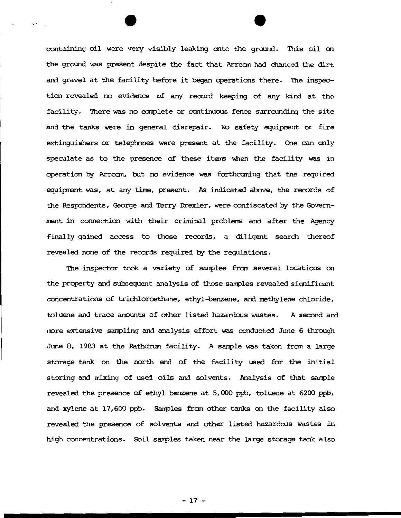containing oil were very visibly leaking onto the ground. This oil on the ground was present despite the fact that Arrcan had Changed the dirt and gravel at the facility before it began operations there. The inspection revealed no evidence of any record keeping of any kind at the facility. There was no complete or continuous fence surrounding the site and the tanks were in general disrepair. No safety equipment or fire extinguishers or telephones were present at the facility. One can only speculate as to the presence of these items when the facility was in operation by Arrcan, but oo evidence was forthcaning that the reguired eguiprent was, at any time, present. As indicated above, the records of the Respondents, George and Terry Drexler, were confiscated by the Government in connection with their criminal problems and after the Agency finally gained access to those records, a diligent search thereof revealed none of the records required by the regulations.

.

The inspector took a variety of samples from several locations on the property and subsequent analysis of those sanples revealed significant concentrations of trichloroethane, ethyl-benzene, and nethylene chloride, toluene and trace amounts of other listed hazardous wastes. A second and more extensive sampling and analysis effort was conducted June 6 through June 8, 1983 at the Rathdrum facility. A sanple was taken fran a large storage tank on the north end of the facility used for the initial storing and mixing of used oils and solvents. Analysis of that sample revealed the presence of ethyl benzene at 5, 000 ppb, toluene at 6200 ppb, and xylene at 17,600 ppb. Sanples fran other tanks on the facility also revealed the presence of solvents and other listed hazardous wastes in high concentrations. Soil sanples taken near the large storage tank also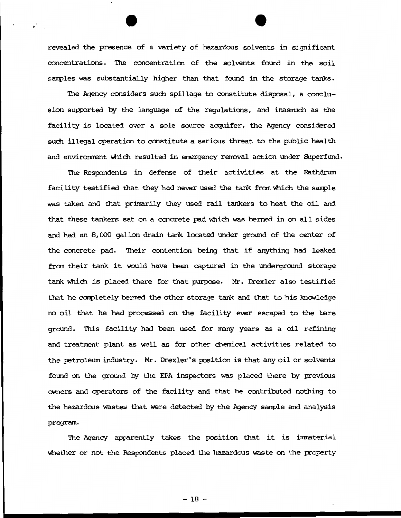revealed the presence of a variety of hazardous solvents in significant concentrations. 'lhe concentration of the sol vents found in the soil samples was substantially higher than that found in the storage tanks.

The Agency considers such spillage to constitute disposal, a conclusion supported by the language of the regulations, and inasmuch as the facility is located over a sole source acquifer, the Agency considered such illegal operation to constitute a serious threat to the public health and environment which resulted in emergency removal action under Superfund.

The Respondents in defense of their activities at the Rathdrum facility testified that they had never used the tank from which the sample was taken and that primarily they used rail tankers to heat the oil and that these tankers sat on a concrete pad which was benned in on all sides and had an 8,000 gallon drain tank located under ground of the center of the concrete pad. Their contention being that if anything had leaked from their tank it would have been captured in the underground storage tank which is placed there for that purpose. Mr. Drexler also testified that he completely bermed the other storage tank and that to his knowledge no oil that he had processed on the facility ever escaped to the bare ground. 'lhis facility had been used for rrany years as a oil refining and treatment plant as well as for other chemical activities related to the petroleum industry. Mr. Drexler's position is that any oil or solvents found on the ground by the EPA inspectors was placed there by previous owners and operators of the facility and that he contributed nothing to the hazardous wastes that were detected by the Agency sample and analysis program.

The Agency apparently takes the position that it is immaterial whether or not the Respondents placed the hazardous waste on the property

- 18-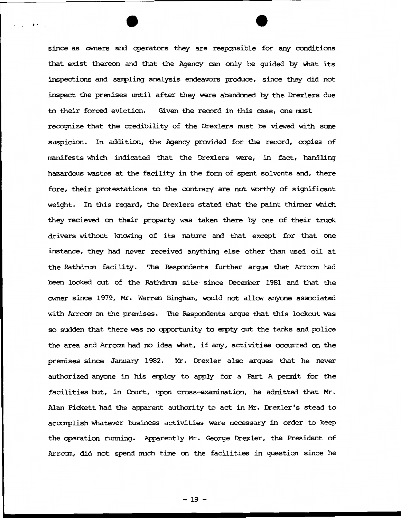since as owners and operators they are responsible for any conditions that exist thereon and that the Agency can only be quided by what its inspections and sampling analysis endeavors produce, since they did not inspect the premises until after they were abandoned by the Drexlers due to their forced eviction. Given the record in this case, one must recognize that the credibility of the Drexlers nust be viewed with sane suspicion. In addition, the Agency provided for the record, copies of manifests which indicated that the Drexlers were, in fact, handling hazardcus wastes at the facility in the fonn of spent solvents and, there fore, their protestations to the contrary are not worthy of significant weight. In this regard, the Drexlers stated that the paint thinner which they recieved on their property was taken there by one of their truck drivers without knowing of its nature and that except for that one instance, they had never received anything else other than used oil at the Rathdrum facility. 'Ihe Respondents further argue that Arrcan had been locked out of the Rathdrum site since December 1981 and that the owner since 1979, Mr. Warren Bingham, would not allow anyone associated with Arrcom on the premises. The Respondents arque that this lockout was so sudden that there was no opportunity to empty out the tanks and police the area and Arrcan had no idea What, if any, activities occurred on the premises since January 1982. Mr. Drexler also argues that he never authorized anyone in his errploy to apply for a Part A pennit for the facilities but, in Court, upon cross-examination, he admitted that Mr. Alan Pickett had the apparent authority to act in Mr. Drexler's stead to acoamplish Whatever business activities were necessary in order to keep the operation running. Apparently Mr. George Drexler, the President of Arrcam, did not spend much time on the facilities in question since he

..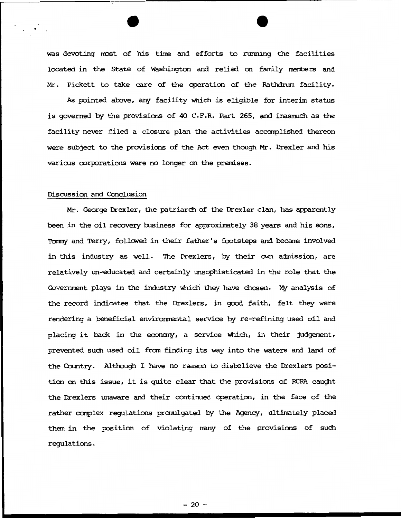was devoting most of his time and efforts to running the facilities located in the State of Washington and relied on family menbers and Mr. Pickett to take care of the operation of the Rathdrum facility.

As pointed above, any facility which is eligible for interim status is governed by the provisions of 40 C.F.R. Part 265, and inasnuch as the facility never filed a closure plan the activities accomplished thereon were subject to the provisions of the Act even though Mr. Drexler and his various corporations were no longer on the premises.

# Discussion and Conclusion

Mr. George Drexler, the patriarch of the Drexler clan, has apparently been in the oil recovery business for approximately 38 years and his sons, Tommy and Terry, followed in their father's footsteps and became involved in this industry as well. The Drexlers, by their own admission, are relatively un-educated and certainly unsophisticated in the role that the Government plays in the industry which they have chosen. My analysis of the record indicates that the Drexlers, in good faith, felt they were rendering a beneficial environmental service by re-refining used oil and placing it back in the economy, a service which, in their judgement, prevented such used oil from finding its way into the waters and land of the Country. Although I have no reason to disbelieve the Drexlers position on this issue, it is quite clear that the provisions of RCRA caught the Drexlers unaware and their continued cperation, in the face of the rather carplex regulations pramlgated by the Agency, ultimately placed them in the position of violating many of the provisions of such regulations.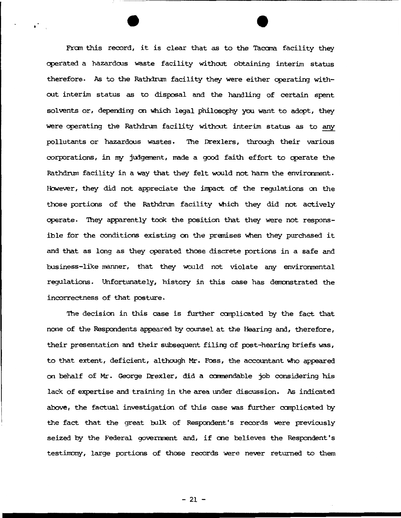From this record, it is clear that as to the Tacoma facility they operated a hazardoos waste facility wi thoot obtaining interim status therefore. As to the Rathdrum facility they were either operating without interim status as to disposal and the handling of certain spent solvents or, depending on which legal philosophy you want to adopt, they were operating the Rathdrum facility without interim status as to any pollutants or hazardous wastes. '!he Drexlers, through their various corporations, in my judgement, made a good faith effort to operate the Rathdrum facility in a way that they felt would not harm the environment. However, they did not appreciate the impact of the regulations on the those portions of the Rathdrum facility which they did not actively operate. They apparently took the position that they were not responsible for the conditions existing on the premises when they purchased it and that as long as they operated those discrete portions in a safe and business-like manner, that they would not violate any environmental regulations. Unfortunately, history in this case has derronstrated the incorrectness of that posture.

 $\mathbf{r}$ 

The decision in this case is further carplicated by the fact that none of the Respondents appeared by counsel at the Hearing and, therefore, their presentation and their subsequent filing of post-hearing briefs was, to that extent, deficient, although Mr. Foss, the accountant who appeared on behalf of Mr. George Drexler, did a commendable job considering his lack of expertise and training in the area under discussion. As indicated above, the factual investigation of this case was further carplicated by the fact that the great bulk of Respondent's records were previously seized by the Federal government and, if one believes the Respondent's testinony, large portions of those records were never returned to them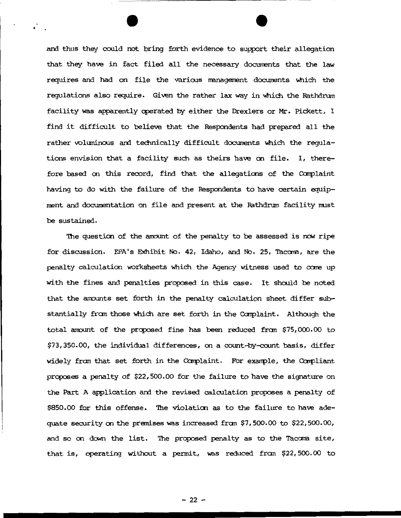and thus they could not bring forth evidence to support their allegation that they have in fact filed all the necessary documents that the law requires and had on file the various management documents which the regulations also require. Given the rather lax way in which the Rathdrum facility was apparently cperated by either the Drexlers or Mr. Pickett, I find it difficult to believe that the Respondents had prepared all the rather voluminous and technically difficult documents which the regulations envision that a facility such as theirs have on file. I, therefore based on this record, find that the allegations of the Complaint having to do with the failure of the Respondents to have certain equipment and documentation on file and present at the Rathdrum facility must be sustained.

The question of the amount of the penalty to be assessed is now ripe for discussion. EPA's Exhibit No. 42, Idaho, and No. 25, Tacam, are the penalty calculation worksheets which the Agency witness used to come up with the fines and penalties proposed in this case. It should be noted that the anounts set forth in the penalty calculation sheet differ substantially from those which are set forth in the Complaint. Although the total amount of the proposed fine has been reduced from  $$75,000.00$  to \$73,350.00, the individual differences, on a count-by-count basis, differ widely from that set forth in the Complaint. For example, the Compliant prcposes a penalty of \$22,500.00 for the failure to have the signature on the Part A application and the revised calculation proposes a penalty of \$850.00 for this offense. The violation as to the failure to have adequate security on the premises was increased fran \$7, 500.00 to \$22, 500.00, and so on down the list. The proposed penalty as to the Tacoma site, that is, operating without a pennit, was reduced fran \$22,500.00 to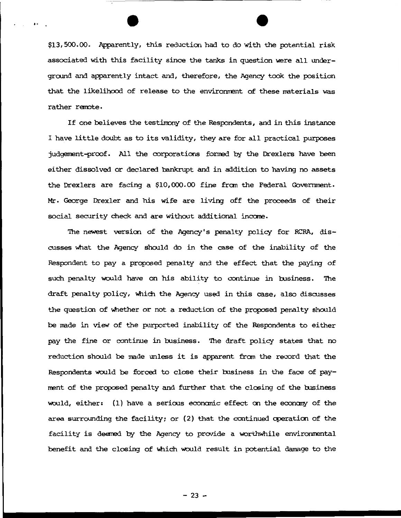\$13,500.00. Apparently, this reduction had to do with the potential risk associated with this facility since the tanks in question were all underground and apparently intact and, therefore, the Agency took the position that the likelihood of release to the environment of these materials was rather remote.

···-----------------------------

•·

If one believes the testimony of the Respondents, and in this instance I have little doubt as to its validity, they are for all practical purposes judgement-proof. All the corporations formed by the Drexlers have been either dissolved or declared bankrupt and in addition to having no assets the Drexlers are facing a  $$10,000.00$  fine from the Federal Government. Mr. George Drexler and his wife are living off the proceeds of their social security check and are without additional income.

The newest version of the Agency's penalty policy for RCRA, discusses what the Agency should do in the case of the inability of the Respondent to pay a proposed penalty and the effect that the paying of such penalty would have on his ability to continue in business. The draft penalty policy, which the Agency used in this case, also discusses the question of whether or not a reduction of the proposed penalty should be made in view of the purported inability of the Respondents to either pay the fine or continue in business. The draft policy states that no reduction should be made unless it is apparent fran the record that the Respondents would be forced to close their business in the face of payment of the proposed penalty and further that the closing of the business would, either: (1) have a serious economic effect on the economy of the area surrounding the facility; or (2) that the continued operation of the facility is deerred by the Agency to provide a worthwhile environmental benefit and the closing of which would result in potential damage to the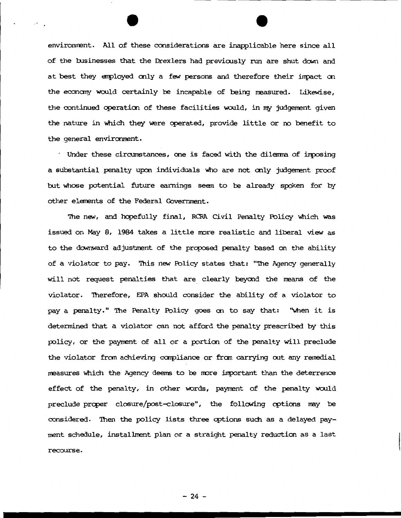environment. All of these considerations are inapplicable here since all of the businesses that the Drexlers had previously run are shut down and at best they employed only a few persons and therefore their impact on the economy would certainly be incapable of being measured. Likewise, the continued operation of these facilities would, in my judgement given the nature in which they were operated, provide little or no benefit to the general environment.

· Under these circumstances, one is faced with the dilenma of inposing a sutstantial penalty upon individuals who are not only judgerrent proof but whose potential future earnings seen to be already spoken for by other elements of the Federal Government.

The new, and hopefully final, RCRA Civil Penalty Policy which was issued on May 8, 1984 takes a little more realistic and liberal view as to the downward adjustment of the proposed penalty based on the ability of a violator to pay. This new Policy states that: "The Agency generally will not request penalties that are clearly beyond the neans of the violator. 'Iherefore, EPA should consider the ability of a violator to pay a penalty." The Penalty Policy goes on to say that: "when it is determined that a violator can not afford the penalty prescribed by this policy, or the paynent of all or a portion of the penalty will preclude the violator from achieving compliance or from carrying out any remedial measures which the Agency deems to be more :inportant than the deterrence effect of the penalty, in other words, paynent of the penalty would preclude proper closure/post-closure", the following options may be considered. Then the policy lists three options such as a delayed payment schedule, installment plan or a straight penalty reduction as a last recourse.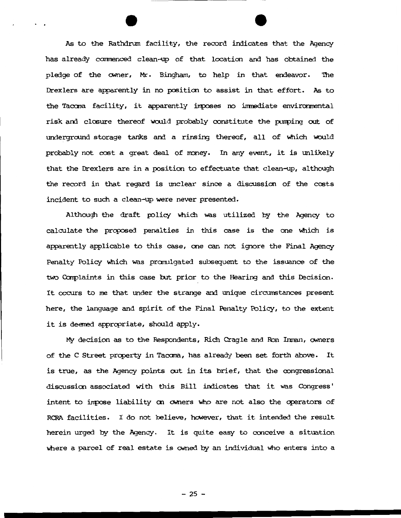As to the Rathdrum facility, the record indicates that the Agency has already commenced clean-up of that location and has obtained the pledge of the owner, Mr. Bingham, to help in that endeavor. The Drexlers are apparently in no positioo to assist in that effort. As to the Tacoma facility, it apparently imposes no immediate environmental risk and closure thereof would probably constitute the pumping out of undergroond storage tanks and a rinsing thereof, all of Which would probably not cost a great deal of money. In any event, it is unlikely that the Drexlers are in a position to effectuate that clean-up, although the record in that regard is unclear since a discussion of the costs incident to such a clean-up were never presented.

Although the draft policy which was utilized by the Agency to calculate the proposed penalties in this case is the one which is apparently applicable to this case, one can not ignore the Final Agency Penalty Policy which was promulgated subsequent to the issuance of the two Complaints in this case but prior to the Hearing and this Decision. It occurs to me that under the strange and unique circumstances present here, the language and spirit of the Final Penalty Policy, to the extent it is deemed appropriate, should apply.

My decision as to the Respondents, Rich Cragle and Ron Inman, owners of the C Street prcperty in Tacana, has already been set forth above. It is true, as the Agency points out in its brief, that the congressional discussion associated with this Bill indicates that it was Congress' intent to impose liability on owners who are not also the operators of RCRA facilities. I do not believe, however, that it intended the result herein urged by the Agency. It is quite easy to conceive a situation where a parcel of real estate is owned by an individual who enters into a

 $- 25 -$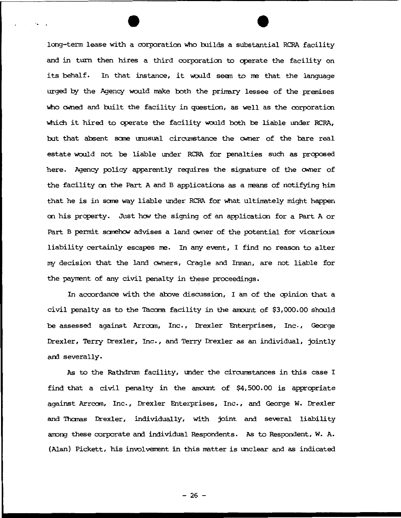long-term lease with a corporation Who builds a substantial RCRA facility and in turn then hires a third corporation to operate the facility on its behalf. In that instance, it would seem to me that the language urged by the Agency would make both the primary lessee of the premises who cwned and built the facility in question, as well as the corporation which it hired to operate the facility would both be liable under RCRA, but that absent some unusual circumstance the owner of the bare real estate would not be liable under RCRA for penalties such as proposed here. Agency policy apparently requires the signature of the owner of the facility on the Part A and B applications as a means of notifying him that he is in some way liable under RCRA for what ultimately might happen oo his property. Just how the signing of an application for a Part A or Part B permit somehow advises a land owner of the potential for vicarious liability certainly escapes me. In any event, I find no reason to alter my decisioo that the land ONners, Cragle and Inman, are not liable for the payrrent of any civil penalty in these proceedings.

In accordance with the above discussion, I am of the cpinioo that a civil penalty as to the Tacoma facility in the amount of \$3,000.00 should be assessed against Arroom, Inc., Drexler Enterprises, Inc., George Drexler, Terry Drexler, Inc., and Terry Drexler as an individual, jointly and severally.

As to the Rathdrum facility, under the circumstances in this case I find that a civil penalty in the amount of \$4,500.00 is appropriate against Arrcom, Inc., Drexler Enterprises, Inc., and George W. Drexler and 'Ihanas Drexler, individually, with joint and several liability among these corporate and individual Respondents. As to Respondent, W. A. (Alan) Pickett, his involvement in this matter is unclear and as indicated

 $- 26 -$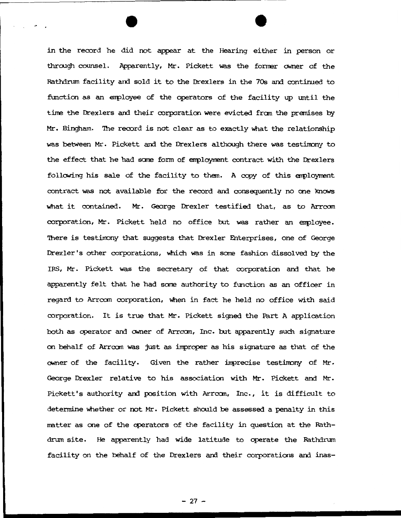in the record he did not appear at the Hearing either in person or through counsel. Apparently, Mr. Pickett was the former owner of the Rathdrum facility and sold it to the Drexlers in the 70s and continued to function as an enployee of the operators of the facility up until the time the Drexlers and their corporation were evicted from the premises by Mr. Bingham. 'Ihe record *is* not clear as to exactly \\hat the relationship was between Mr. Pickett and the Drexlers a1 though there was testinony to the effect that he had some form of employment contract with the Drexlers following his sale of the facility to them. A copy of this employment contract was not available for the record and consequently no one knows What it contained. Mr. George Drexler testified that, as to Arrcan corporation, Mr. Pickett held no office but was rather an employee. There is testimony that suggests that Drexler Enterprises, one of George Drexler's other corporations, which was in some fashion dissolved by the IRS, Mr. Pickett was the secretary of that corporation and that he apparently felt that he had same authority to function as an officer in regard to Arrcom corporation, when in fact he held no office with said corporation. It is true that Mr. Pickett signed the Part A application both as cperator and ONner of Arrcan, Inc. but apparently such signature on behalf of Arrcom was just as improper as his signature as that of the owner of the facility. Given the rather imprecise testimony of Mr. George Drexler relative to his association with Mr. Pickett and Mr. Pickett's authority and position with Arrcom, Inc., it is difficult to determine whether or not Mr. Pickett should be assessed a penalty in this matter as one of the operators of the facility in question at the Rathdrum site. He apparently had wide latitude to operate the Rathdrum facility on the behalf of the Drexlers and their corporations and inas-

- 27 -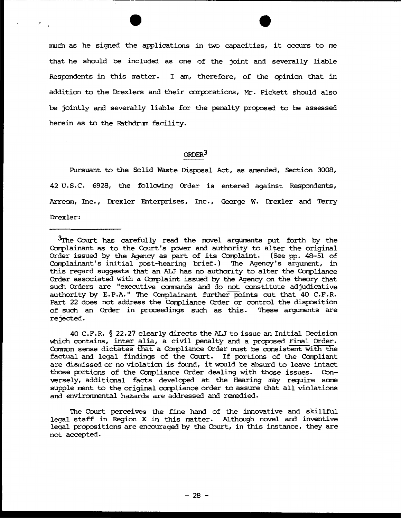much as he signed the applications in two capacities, it occurs to me that he should be included as one of the joint and severally liable Respondents in this matter. I am, therefore, of the opinion that in addition to the Drexlers and their corporations, Mr. Pickett should also be jointly and severally liable for the penalty proposed to be assessed herein as to the Rathdrum facility.

.•

# ORDER<sup>3</sup>

Pursuant to the Solid Waste Disposal Act, as amended, Section 3008, 42 u.s.c. 6928, the follcwing Order is entered against Respondents, Arrcom, Inc., Drexler Enterprises, Inc., George W. Drexler and Terry Drexler:

40 C.F.R. § 22.27 clearly directs the ALJ to issue an Initial Decision which contains, inter alia, a civil penalty and a proposed Final Order. Camon sense dictates that a Carpliance Order nust be consistent with the factual and legal findings of the Court. If portions of the Compliant are dismissed or no violation is found, it would be absurd to leave intact those portions of the Compliance Order dealing with those issues. Conversely, additional facts developed at the Hearing may require some supple ment to the original carpliance order to assure that all violations and environmental hazards are addressed and remedied.

The Court perceives the fine hand of the innovative and skillful legal staff in Region X in this matter. Although novel and inventive legal propositions are encouraged by the Court, in this instance, they are not accepted.

<sup>3</sup>rrhe Court has carefully read the novel arguments put forth by the Complainant as to the Court's power and authority to alter the original Order issued by the Agency as part of its Carplaint. (See pp. 48-51 of Complainant's initial post-hearing brief.) The Agency's argument, in this regard suggests that an ALJ has no authority to alter the Carpliance Order associated with a Complaint issued by the Agency on the theory that such Orders are "executive camands and do not constitute adjudicative authority by E.P.A." The Complainant further points out that 40 C.F.R. Part 22 does not address the Carpliance Order or control the disposition of such an Order in proceedings such as this. These arguments are rejected.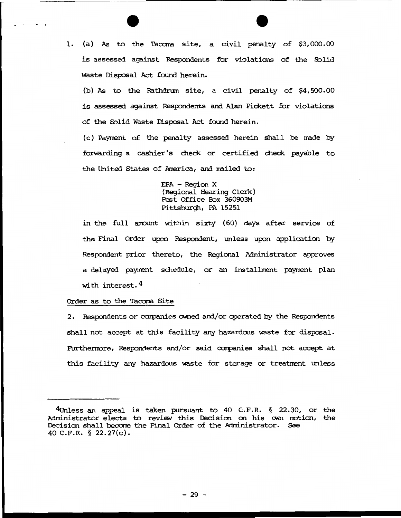1. (a) As to the Tacoma site, a civil penalty of \$3,000.00 is assessed against Respondents for violations of the Solid Waste Disposal Act found herein.

(b) As to the Rathdrum site, a civil penalty of \$4,500.00 is assessed against Respondents and. Alan Pickett for violations of the Solid waste Disposal Act found herein.

(c) Paynent of the penalty assessed herein shall be rrade by forwarding a cashier's check or certified check payable to the United States of America, and mailed to:

> EPA - Region X (Regional Hearing Clerk) Post Office Box 360903M Pittsburgh, PA 15251

in the full amount within sixty (60) days after service of the Final Order upon Respondent, unless upon application by Respondent prior thereto, the Regional Administrator approves a delayed payment schedule, or an installment payment plan with interest.  $4$ 

#### Order as to the Tacoma Site

 $\cdot$ 

2. Respondents or companies owned and/ or operated by the Respondents shall not accept at this facility any hazardous waste for disposal. Furthermore, Respondents and/or said companies shall not accept at this facility any hazardous waste for storage or treatment unless

<sup>4</sup>Unless an appeal is taken pursuant to 40 C.F.R. § 22.30, or the Administrator elects to review this Decision on his own motion, the Decision shall beccme the Final Order of the Mministrator. See 40 C.F.R. § 22.27(c).